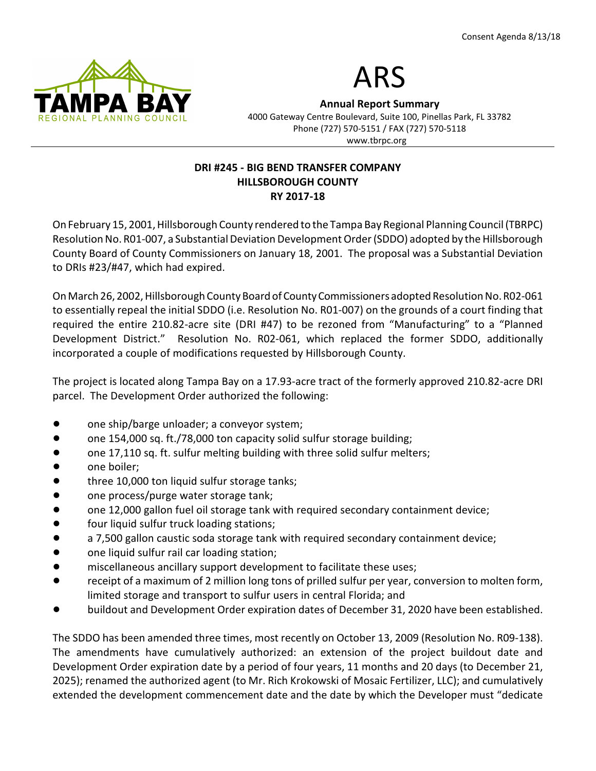



Annual Report Summary 4000 Gateway Centre Boulevard, Suite 100, Pinellas Park, FL 33782 Phone (727) 570-5151 / FAX (727) 570-5118 www.tbrpc.org

## DRI #245 - BIG BEND TRANSFER COMPANY HILLSBOROUGH COUNTY RY 2017-18

On February 15, 2001, Hillsborough County rendered to the Tampa Bay Regional Planning Council (TBRPC) Resolution No. R01-007, a Substantial Deviation Development Order (SDDO) adopted by the Hillsborough County Board of County Commissioners on January 18, 2001. The proposal was a Substantial Deviation to DRIs #23/#47, which had expired.

On March 26, 2002, Hillsborough County Board of County Commissioners adopted Resolution No. R02-061 to essentially repeal the initial SDDO (i.e. Resolution No. R01-007) on the grounds of a court finding that required the entire 210.82-acre site (DRI #47) to be rezoned from "Manufacturing" to a "Planned Development District." Resolution No. R02-061, which replaced the former SDDO, additionally incorporated a couple of modifications requested by Hillsborough County.

The project is located along Tampa Bay on a 17.93-acre tract of the formerly approved 210.82-acre DRI parcel. The Development Order authorized the following:

- one ship/barge unloader; a conveyor system;
- one 154,000 sq. ft./78,000 ton capacity solid sulfur storage building;
- one 17,110 sq. ft. sulfur melting building with three solid sulfur melters;
- one boiler:
- three 10,000 ton liquid sulfur storage tanks;
- one process/purge water storage tank;
- one 12,000 gallon fuel oil storage tank with required secondary containment device;
- four liquid sulfur truck loading stations;
- a 7,500 gallon caustic soda storage tank with required secondary containment device;
- one liquid sulfur rail car loading station;
- **Indigate 1** miscellaneous ancillary support development to facilitate these uses;
- receipt of a maximum of 2 million long tons of prilled sulfur per year, conversion to molten form, limited storage and transport to sulfur users in central Florida; and
- buildout and Development Order expiration dates of December 31, 2020 have been established.

The SDDO has been amended three times, most recently on October 13, 2009 (Resolution No. R09-138). The amendments have cumulatively authorized: an extension of the project buildout date and Development Order expiration date by a period of four years, 11 months and 20 days (to December 21, 2025); renamed the authorized agent (to Mr. Rich Krokowski of Mosaic Fertilizer, LLC); and cumulatively extended the development commencement date and the date by which the Developer must "dedicate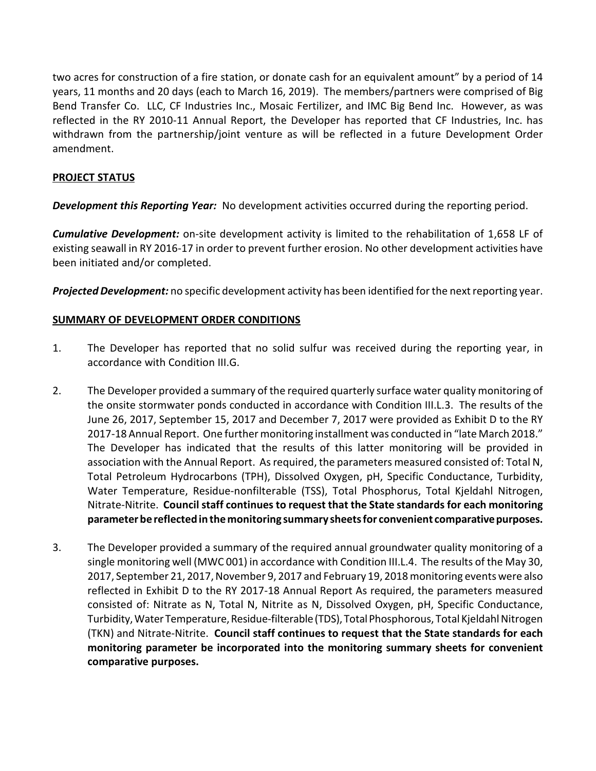two acres for construction of a fire station, or donate cash for an equivalent amount" by a period of 14 years, 11 months and 20 days (each to March 16, 2019). The members/partners were comprised of Big Bend Transfer Co. LLC, CF Industries Inc., Mosaic Fertilizer, and IMC Big Bend Inc. However, as was reflected in the RY 2010-11 Annual Report, the Developer has reported that CF Industries, Inc. has withdrawn from the partnership/joint venture as will be reflected in a future Development Order amendment.

### PROJECT STATUS

**Development this Reporting Year:** No development activities occurred during the reporting period.

**Cumulative Development:** on-site development activity is limited to the rehabilitation of 1,658 LF of existing seawall in RY 2016-17 in order to prevent further erosion. No other development activities have been initiated and/or completed.

**Projected Development:** no specific development activity has been identified for the next reporting year.

### SUMMARY OF DEVELOPMENT ORDER CONDITIONS

- 1. The Developer has reported that no solid sulfur was received during the reporting year, in accordance with Condition III.G.
- 2. The Developer provided a summary of the required quarterly surface water quality monitoring of the onsite stormwater ponds conducted in accordance with Condition III.L.3. The results of the June 26, 2017, September 15, 2017 and December 7, 2017 were provided as Exhibit D to the RY 2017-18 Annual Report. One further monitoring installment was conducted in "late March 2018." The Developer has indicated that the results of this latter monitoring will be provided in association with the Annual Report. As required, the parameters measured consisted of: Total N, Total Petroleum Hydrocarbons (TPH), Dissolved Oxygen, pH, Specific Conductance, Turbidity, Water Temperature, Residue-nonfilterable (TSS), Total Phosphorus, Total Kjeldahl Nitrogen, Nitrate-Nitrite. Council staff continues to request that the State standards for each monitoring parameter be reflected in the monitoring summary sheets for convenient comparative purposes.
- 3. The Developer provided a summary of the required annual groundwater quality monitoring of a single monitoring well (MWC 001) in accordance with Condition III.L.4. The results of the May 30, 2017, September 21, 2017, November 9, 2017 and February 19, 2018 monitoring events were also reflected in Exhibit D to the RY 2017-18 Annual Report As required, the parameters measured consisted of: Nitrate as N, Total N, Nitrite as N, Dissolved Oxygen, pH, Specific Conductance, Turbidity, Water Temperature, Residue-filterable (TDS), Total Phosphorous, Total Kjeldahl Nitrogen (TKN) and Nitrate-Nitrite. Council staff continues to request that the State standards for each monitoring parameter be incorporated into the monitoring summary sheets for convenient comparative purposes.